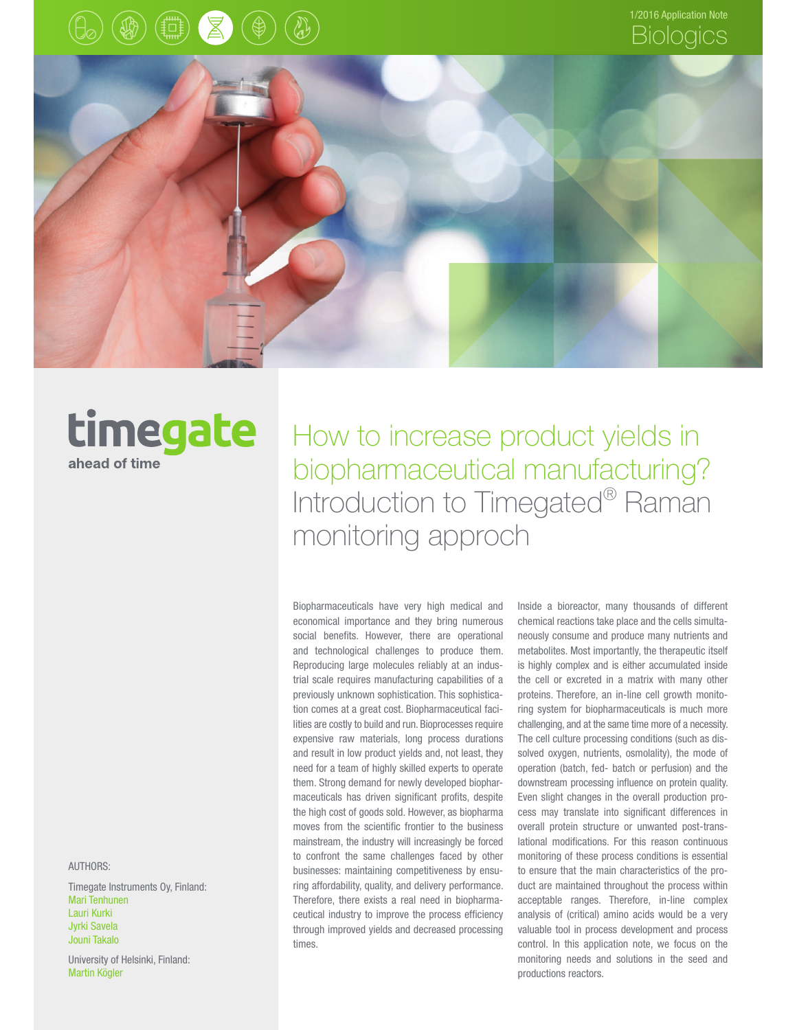





## timegate ahead of time

How to increase product yields in biopharmaceutical manufacturing? Introduction to Timegated® Raman monitoring approch

Biopharmaceuticals have very high medical and economical importance and they bring numerous social benefits. However, there are operational and technological challenges to produce them. Reproducing large molecules reliably at an industrial scale requires manufacturing capabilities of a previously unknown sophistication. This sophistication comes at a great cost. Biopharmaceutical facilities are costly to build and run. Bioprocesses require expensive raw materials, long process durations and result in low product yields and, not least, they need for a team of highly skilled experts to operate them. Strong demand for newly developed biopharmaceuticals has driven significant profits, despite the high cost of goods sold. However, as biopharma moves from the scientific frontier to the business mainstream, the industry will increasingly be forced to confront the same challenges faced by other businesses: maintaining competitiveness by ensuring affordability, quality, and delivery performance. Therefore, there exists a real need in biopharmaceutical industry to improve the process efficiency through improved yields and decreased processing times.

Inside a bioreactor, many thousands of different chemical reactions take place and the cells simultaneously consume and produce many nutrients and metabolites. Most importantly, the therapeutic itself is highly complex and is either accumulated inside the cell or excreted in a matrix with many other proteins. Therefore, an in-line cell growth monitoring system for biopharmaceuticals is much more challenging, and at the same time more of a necessity. The cell culture processing conditions (such as dissolved oxygen, nutrients, osmolality), the mode of operation (batch, fed- batch or perfusion) and the downstream processing influence on protein quality. Even slight changes in the overall production process may translate into significant differences in overall protein structure or unwanted post-translational modifications. For this reason continuous monitoring of these process conditions is essential to ensure that the main characteristics of the product are maintained throughout the process within acceptable ranges. Therefore, in-line complex analysis of (critical) amino acids would be a very valuable tool in process development and process control. In this application note, we focus on the monitoring needs and solutions in the seed and productions reactors.

AUTHORS:

Timegate Instruments Oy, Finland: Mari Tenhunen Lauri Kurki Jyrki Savela Jouni Takalo

University of Helsinki, Finland: Martin Kögler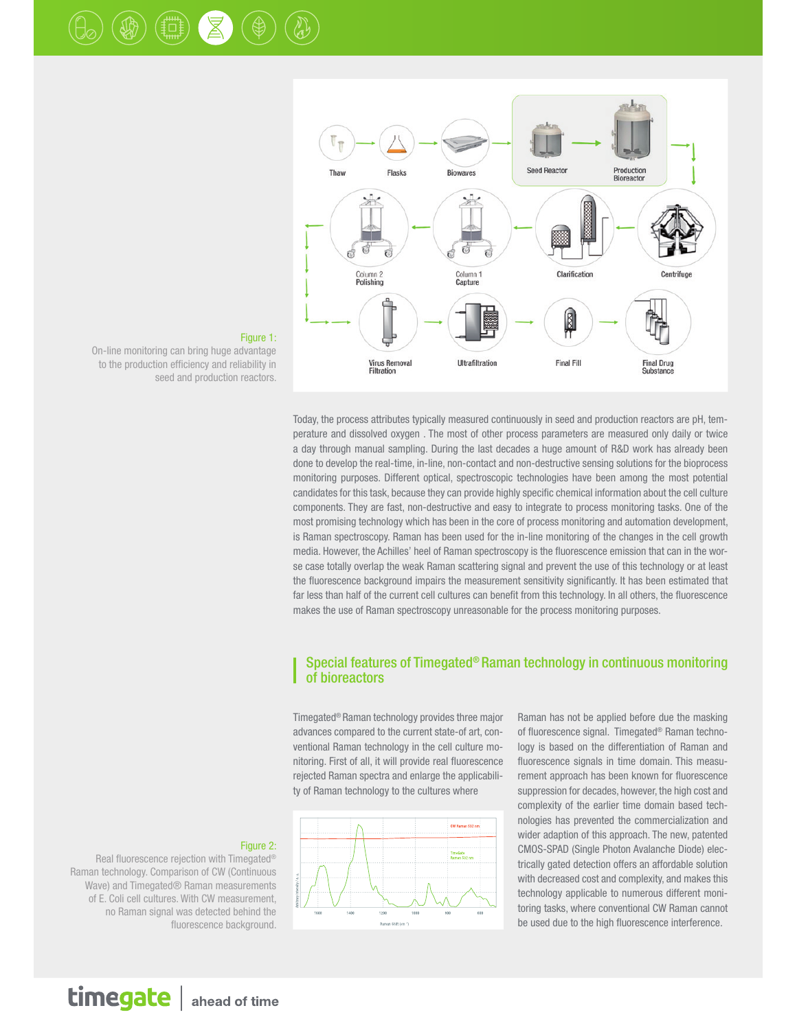



Figure 1:

On-line monitoring can bring huge advantage to the production efficiency and reliability in seed and production reactors.

> Today, the process attributes typically measured continuously in seed and production reactors are pH, temperature and dissolved oxygen . The most of other process parameters are measured only daily or twice a day through manual sampling. During the last decades a huge amount of R&D work has already been done to develop the real-time, in-line, non-contact and non-destructive sensing solutions for the bioprocess monitoring purposes. Different optical, spectroscopic technologies have been among the most potential candidates for this task, because they can provide highly specific chemical information about the cell culture components. They are fast, non-destructive and easy to integrate to process monitoring tasks. One of the most promising technology which has been in the core of process monitoring and automation development, is Raman spectroscopy. Raman has been used for the in-line monitoring of the changes in the cell growth media. However, the Achilles' heel of Raman spectroscopy is the fluorescence emission that can in the worse case totally overlap the weak Raman scattering signal and prevent the use of this technology or at least the fluorescence background impairs the measurement sensitivity significantly. It has been estimated that far less than half of the current cell cultures can benefit from this technology. In all others, the fluorescence makes the use of Raman spectroscopy unreasonable for the process monitoring purposes.

#### Special features of Timegated® Raman technology in continuous monitoring of bioreactors

Timegated® Raman technology provides three major advances compared to the current state-of art, conventional Raman technology in the cell culture monitoring. First of all, it will provide real fluorescence rejected Raman spectra and enlarge the applicability of Raman technology to the cultures where



Raman has not be applied before due the masking of fluorescence signal. Timegated® Raman technology is based on the differentiation of Raman and fluorescence signals in time domain. This measurement approach has been known for fluorescence suppression for decades, however, the high cost and complexity of the earlier time domain based technologies has prevented the commercialization and wider adaption of this approach. The new, patented CMOS-SPAD (Single Photon Avalanche Diode) electrically gated detection offers an affordable solution with decreased cost and complexity, and makes this technology applicable to numerous different monitoring tasks, where conventional CW Raman cannot be used due to the high fluorescence interference.

#### Figure 2:

Real fluorescence rejection with Timegated® Raman technology. Comparison of CW (Continuous Wave) and Timegated® Raman measurements of E. Coli cell cultures. With CW measurement, no Raman signal was detected behind the fluorescence background.

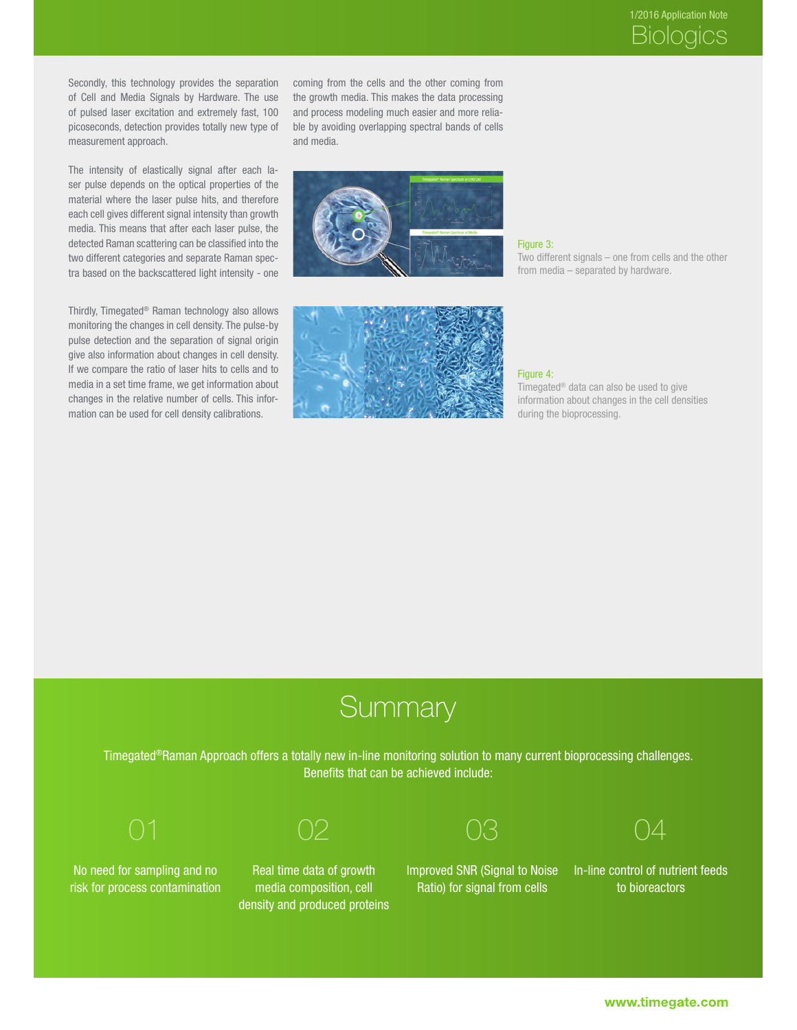Secondly, this technology provides the separation of Cell and Media Signals by Hardware. The use of pulsed laser excitation and extremely fast, 100 picoseconds, detection provides totally new type of measurement approach.

The intensity of elastically signal after each laser pulse depends on the optical properties of the material where the laser pulse hits, and therefore each cell gives different signal intensity than growth media. This means that after each laser pulse, the detected Raman scattering can be classified into the two different categories and separate Raman spectra based on the backscattered light intensity - one

Thirdly, Timegated® Raman technology also allows monitoring the changes in cell density. The pulse-by pulse detection and the separation of signal origin give also information about changes in cell density. If we compare the ratio of laser hits to cells and to media in a set time frame, we get information about changes in the relative number of cells. This information can be used for cell density calibrations.

coming from the cells and the other coming from the growth media. This makes the data processing and process modeling much easier and more reliable by avoiding overlapping spectral bands of cells and media.



#### Figure 3:

Two different signals – one from cells and the other from media – separated by hardware.



#### Figure 4:

Timegated® data can also be used to give information about changes in the cell densities during the bioprocessing.

## **Summary**

Timegated®Raman Approach offers a totally new in-line monitoring solution to many current bioprocessing challenges. Benefits that can be achieved include:

No need for sampling and no risk for process contamination

Real time data of growth media composition, cell density and produced proteins Improved SNR (Signal to Noise Ratio) for signal from cells



In-line control of nutrient feeds to bioreactors